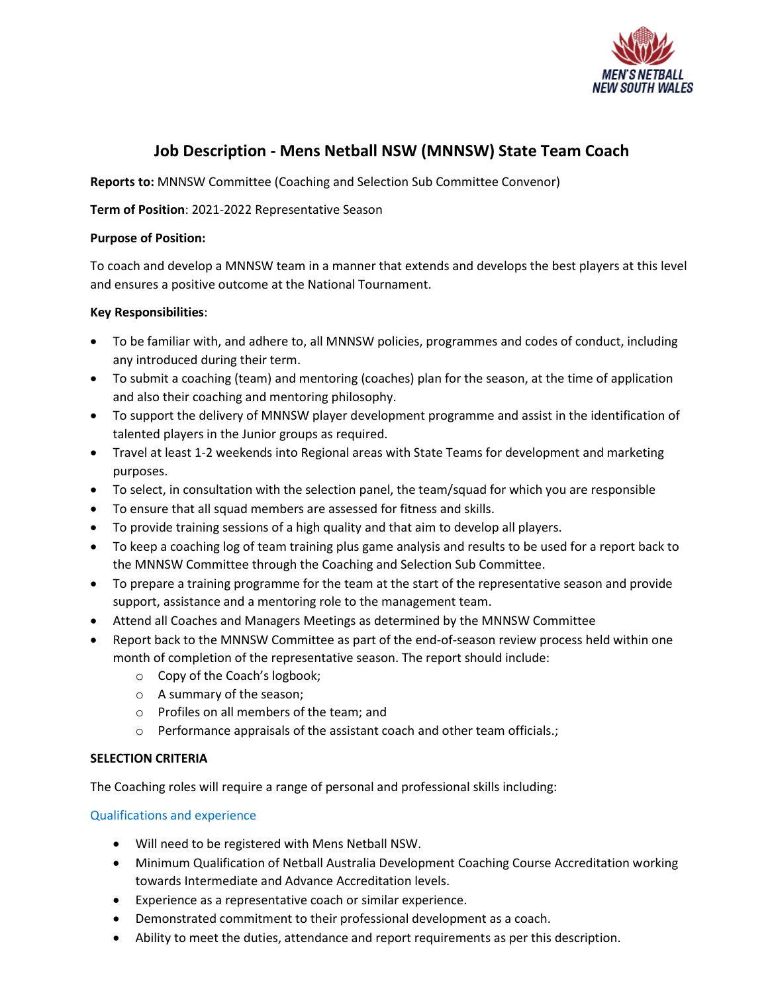

# **Job Description - Mens Netball NSW (MNNSW) State Team Coach**

**Reports to:** MNNSW Committee (Coaching and Selection Sub Committee Convenor)

## **Term of Position**: 2021-2022 Representative Season

### **Purpose of Position:**

To coach and develop a MNNSW team in a manner that extends and develops the best players at this level and ensures a positive outcome at the National Tournament.

## **Key Responsibilities**:

- To be familiar with, and adhere to, all MNNSW policies, programmes and codes of conduct, including any introduced during their term.
- To submit a coaching (team) and mentoring (coaches) plan for the season, at the time of application and also their coaching and mentoring philosophy.
- To support the delivery of MNNSW player development programme and assist in the identification of talented players in the Junior groups as required.
- Travel at least 1-2 weekends into Regional areas with State Teams for development and marketing purposes.
- To select, in consultation with the selection panel, the team/squad for which you are responsible
- To ensure that all squad members are assessed for fitness and skills.
- To provide training sessions of a high quality and that aim to develop all players.
- To keep a coaching log of team training plus game analysis and results to be used for a report back to the MNNSW Committee through the Coaching and Selection Sub Committee.
- To prepare a training programme for the team at the start of the representative season and provide support, assistance and a mentoring role to the management team.
- Attend all Coaches and Managers Meetings as determined by the MNNSW Committee
- Report back to the MNNSW Committee as part of the end-of-season review process held within one month of completion of the representative season. The report should include:
	- o Copy of the Coach's logbook;
	- o A summary of the season;
	- o Profiles on all members of the team; and
	- o Performance appraisals of the assistant coach and other team officials.;

#### **SELECTION CRITERIA**

The Coaching roles will require a range of personal and professional skills including:

#### Qualifications and experience

- Will need to be registered with Mens Netball NSW.
- Minimum Qualification of Netball Australia Development Coaching Course Accreditation working towards Intermediate and Advance Accreditation levels.
- Experience as a representative coach or similar experience.
- Demonstrated commitment to their professional development as a coach.
- Ability to meet the duties, attendance and report requirements as per this description.